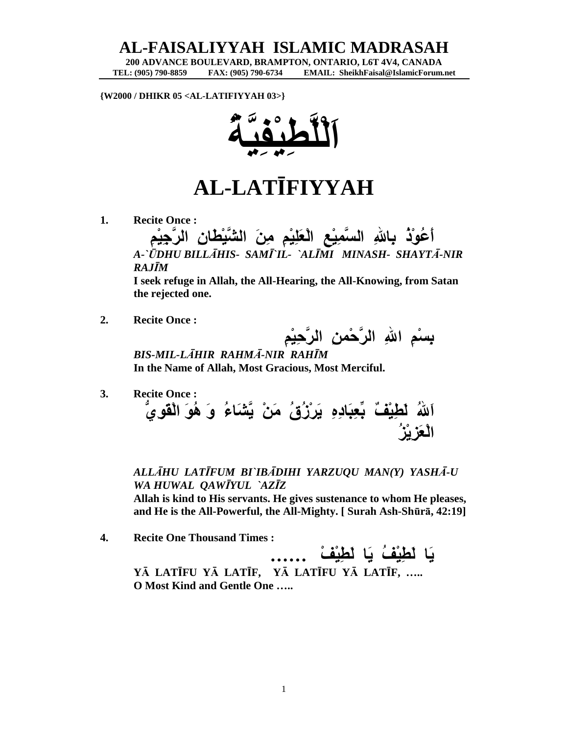## **AL-FAISALIYYAH ISLAMIC MADRASAH**

**200 ADVANCE BOULEVARD, BRAMPTON, ONTARIO, L6T 4V4, CANADA EMAIL: SheikhFaisal@IslamicForum.net** 

**{W2000 / DHIKR 05 <AL-LATIFIYYAH 03>}** 



## **AL-LATĪFIYYAH**

**1. Recite Once :** 

**أَعُوْذُ بِااللهِ السَّمِيْعِ الْعَلِيْمِ مِنَ الشَّيْطَانِ الرَّجِيْمِ** *A-`ŪDHU BILLĀHIS- SAMĪ`IL- `ALĪMI MINASH- SHAYTĀ-NIR RAJĪM* 

**I seek refuge in Allah, the All-Hearing, the All-Knowing, from Satan the rejected one.** 

**2. Recite Once :** 

**بِسْمِ االلهِ الرَّحْمنِ الرَّحِيْمِ**

*BIS-MIL-LĀHIR RAHMĀ-NIR RAHĪM*   **In the Name of Allah, Most Gracious, Most Merciful.** 

**3. Recite Once : اَاللهُ لَطِيْفٌ بِّعِبَادِهِ يَرْزُقُ مَنْ يَّشَاءُ وَ هُوَ الْقَوِيُّ الْعَزِيْزُ**

*ALLĀHU LATĪFUM BI`IBĀDIHI YARZUQU MAN(Y) YASHĀ-U WA HUWAL QAWĪYUL `AZĪZ*  **Allah is kind to His servants. He gives sustenance to whom He pleases, and He is the All-Powerful, the All-Mighty. [ Surah Ash-Shūrā, 42:19]** 

**4. Recite One Thousand Times :** 

**يَا لَطِيْفُ يَا لَطِيْفْ ÖÖ YĀ LATĪFU YĀ LATĪF, YĀ LATĪFU YĀ LATĪF, ….. O Most Kind and Gentle One …..**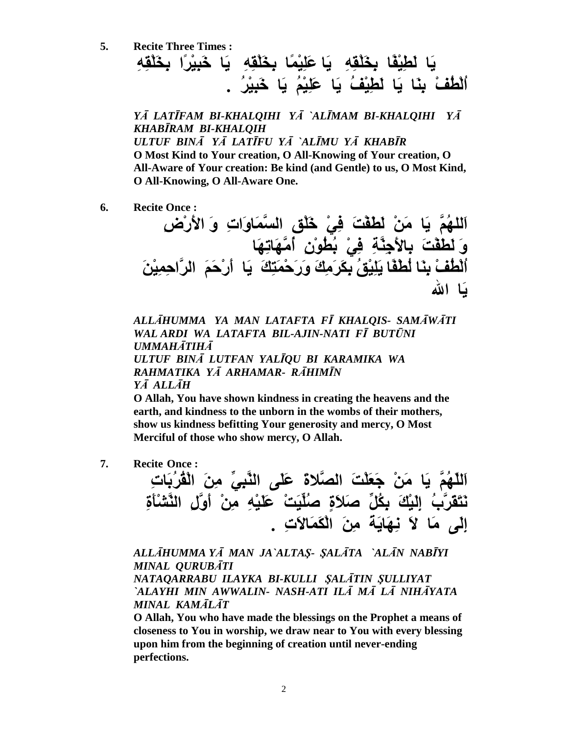**5. Recite Three Times : يَا لَطِيْفًا بِخَلْقِهِ يَا عَلِيْمًا بِخَلْقِهِ يَا خَبِيْرًا بِخَلْقِهِ اُلْطُفْ بِنَا يَا لَطِيْفُ يَا عَلِيْمُ يَا خَبِيْرُ .** 

*YĀ LATĪFAM BI-KHALQIHI YĀ `ALĪMAM BI-KHALQIHI YĀ KHABĪRAM BI-KHALQIH ULTUF BINĀ YĀ LATĪFU YĀ `ALĪMU YĀ KHABĪR*  **O Most Kind to Your creation, O All-Knowing of Your creation, O All-Aware of Your creation: Be kind (and Gentle) to us, O Most Kind, O All-Knowing, O All-Aware One.** 

**6. Recite Once :** 

**اَللهُمَّ يَا مَنْ لَطَفْتَ فِيْ خَلْقِ السَّمَاوَاتِ وَ الأَرْضِ وَ لَطَفْتَ بِالأَجِنَّةِ فِيْ بُطُوْنِ أُمَّهَاتِهَا اُلْطُفْ بِنَا لُطْفًا يَلِيْقُ بِكَرَمِكَ وَرَحْمَتِكَ يَا أَرْحَمَ الرَّاحِمِيْنَ يَا االله** 

*ALLĀHUMMA YA MAN LATAFTA FĪ KHALQIS- SAMĀWĀTI WAL ARDI WA LATAFTA BIL-AJIN-NATI FĪ BUTŪNI UMMAHĀTIHĀ ULTUF BINĀ LUTFAN YALĪQU BI KARAMIKA WA RAHMATIKA YĀ ARHAMAR- RĀHIMĪN YĀ ALLĀH* 

**O Allah, You have shown kindness in creating the heavens and the earth, and kindness to the unborn in the wombs of their mothers, show us kindness befitting Your generosity and mercy, O Most Merciful of those who show mercy, O Allah.** 

**7. Recite Once :** 

**اَللّهُمَّ يَا مَنْ جَعَلْتَ الصَّلاةَ عَلَى النَّبِيِّ مِنَ الْقُرُبَاتِ نَتَقَرَّبُ إِلَيْكَ بِكُلِّ صَلاَةٍ صُلِّيَتْ عَلَيْهِ مِنْ أَوَّلِ النَّشْأَةِ إِلَى مَا لاَ نِهَايَةَ مِنَ الْكَمَالاَتِ .** 

*ALLĀHUMMA YĀ MAN JA`ALTAŞ- ŞALĀTA `ALĀN NABĪYI MINAL QURUBĀTI NATAQARRABU ILAYKA BI-KULLI ŞALĀTIN ŞULLIYAT `ALAYHI MIN AWWALIN- NASH-ATI ILĀ MĀ LĀ NIHĀYATA MINAL KAMĀLĀT* 

**O Allah, You who have made the blessings on the Prophet a means of closeness to You in worship, we draw near to You with every blessing upon him from the beginning of creation until never-ending perfections.**